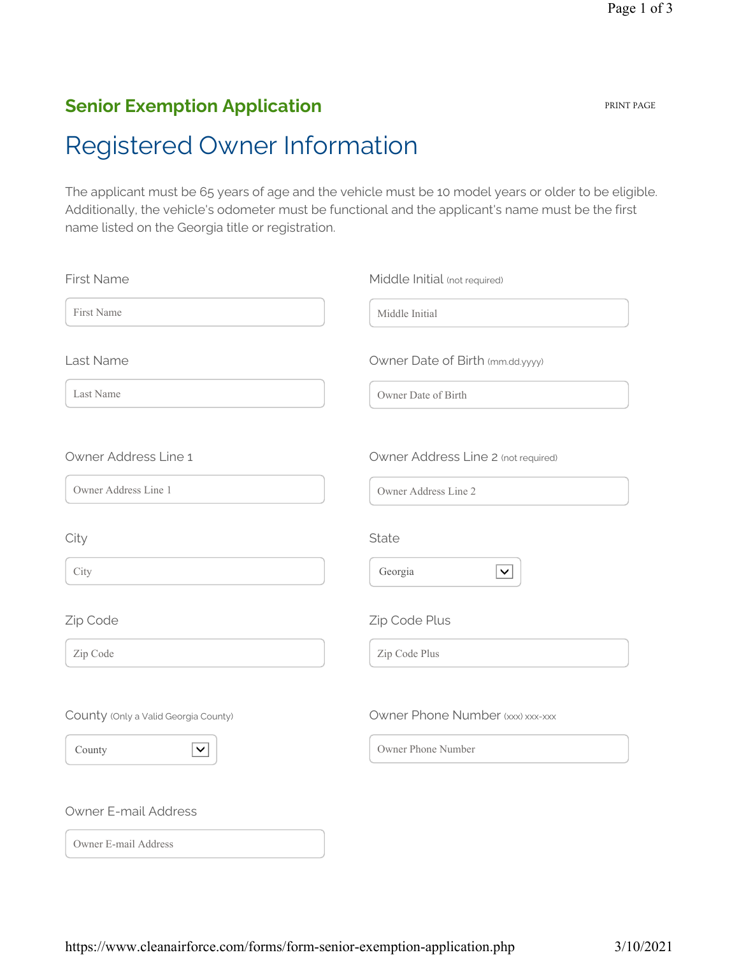#### Senior Exemption Application

# Registered Owner Information

The applicant must be 65 years of age and the vehicle must be 10 model years or older to be eligible. Additionally, the vehicle's odometer must be functional and the applicant's name must be the first name listed on the Georgia title or registration.

| <b>First Name</b>                    | Middle Initial (not required)       |
|--------------------------------------|-------------------------------------|
| First Name                           | Middle Initial                      |
| Last Name                            | Owner Date of Birth (mm.dd.yyyy)    |
| Last Name                            | Owner Date of Birth                 |
| Owner Address Line 1                 | Owner Address Line 2 (not required) |
| Owner Address Line 1                 | Owner Address Line 2                |
| City                                 | State                               |
| City                                 | Georgia<br>$\checkmark$             |
| Zip Code                             | Zip Code Plus                       |
| Zip Code                             | Zip Code Plus                       |
| County (Only a Valid Georgia County) | Owner Phone Number (xxx) xxx-xxx    |
| County<br>$\checkmark$               | Owner Phone Number                  |
| <b>Owner E-mail Address</b>          |                                     |
| Owner E-mail Address                 |                                     |

https://www.cleanairforce.com/forms/form-senior-exemption-application.php 3/10/2021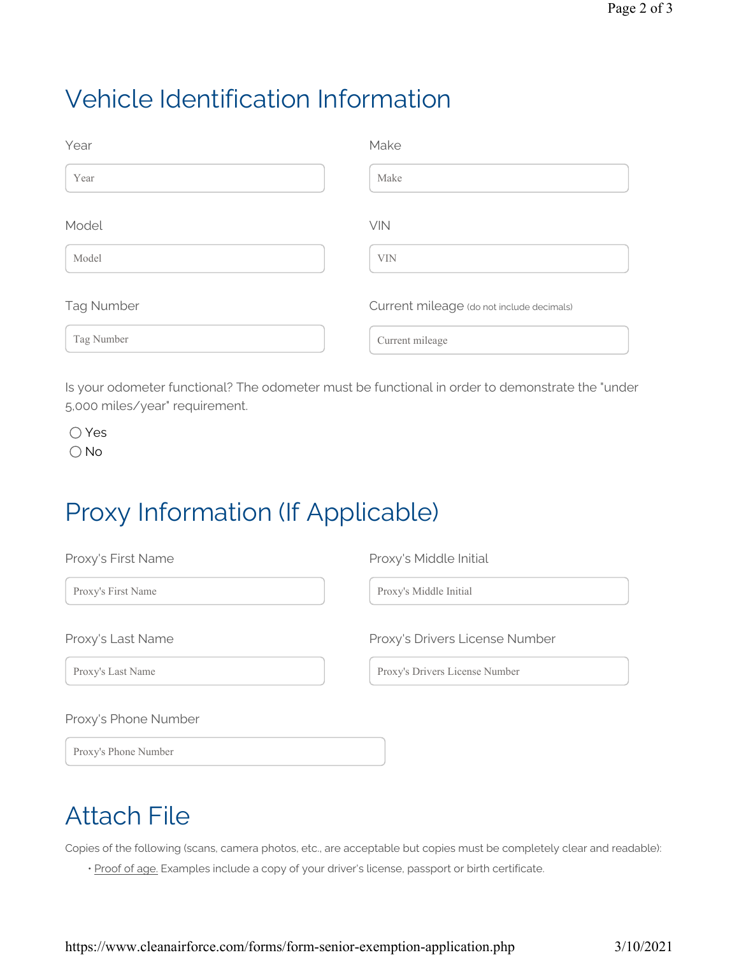### Vehicle Identification Information

| Year              | Make                                      |
|-------------------|-------------------------------------------|
| Year              | Make                                      |
| Model             | VIN                                       |
| Model             | <b>VIN</b>                                |
| <b>Tag Number</b> | Current mileage (do not include decimals) |
| Tag Number        | Current mileage                           |

Is your odometer functional? The odometer must be functional in order to demonstrate the "under 5,000 miles/year" requirement.

Yes  $\bigcirc$  No

## Proxy Information (If Applicable)

| Proxy's First Name   | Proxy's Middle Initial         |
|----------------------|--------------------------------|
| Proxy's First Name   | Proxy's Middle Initial         |
| Proxy's Last Name    | Proxy's Drivers License Number |
| Proxy's Last Name    | Proxy's Drivers License Number |
| Proxy's Phone Number |                                |
| Proxy's Phone Number |                                |

## Attach File

Copies of the following (scans, camera photos, etc., are acceptable but copies must be completely clear and readable):

• Proof of age. Examples include a copy of your driver's license, passport or birth certificate.

https://www.cleanairforce.com/forms/form-senior-exemption-application.php 3/10/2021